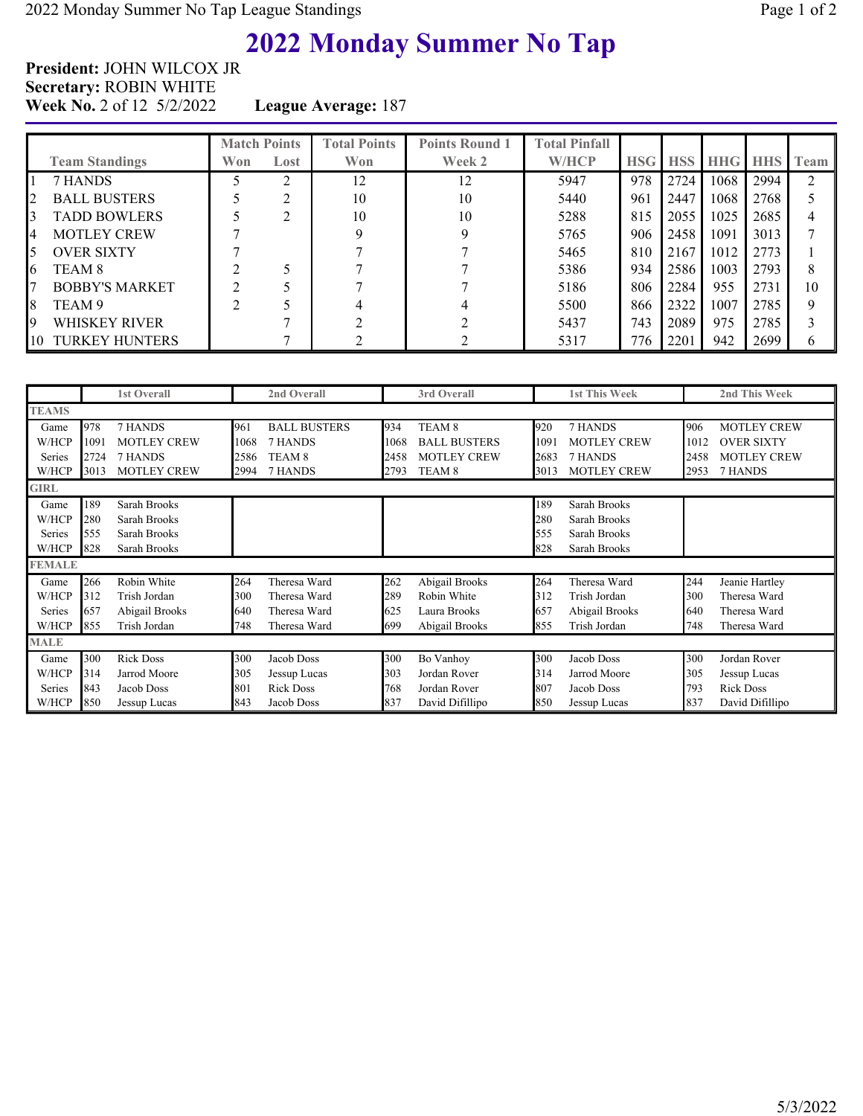# 2022 Monday Summer No Tap

President: JOHN WILCOX JR Secretary: ROBIN WHITE Week No. 2 of 12 5/2/2022 League Average: 187

|    | <b>Team Standings</b> | <b>Match Points</b><br>Won | Lost | <b>Total Points</b><br>Won | <b>Points Round 1</b><br>Week 2 | <b>Total Pinfall</b><br><b>W/HCP</b> | <b>HSG HSS</b> |      | <b>HHG HHS</b> |      | I Team                      |
|----|-----------------------|----------------------------|------|----------------------------|---------------------------------|--------------------------------------|----------------|------|----------------|------|-----------------------------|
|    | 7 HANDS               |                            | ◠    | 12                         | 12                              | 5947                                 | 978            | 2724 | 1068           | 2994 | $\mathcal{D}_{\mathcal{L}}$ |
| 2  | <b>BALL BUSTERS</b>   |                            | ◠    | 10                         | 10                              | 5440                                 | 961            | 2447 | 1068           | 2768 |                             |
| 3  | <b>TADD BOWLERS</b>   |                            | ◠    | 10                         | 10                              | 5288                                 | 815            | 2055 | 1025           | 2685 |                             |
| 4  | <b>MOTLEY CREW</b>    |                            |      |                            |                                 | 5765                                 | 906            | 2458 | 1091           | 3013 |                             |
| 5  | <b>OVER SIXTY</b>     |                            |      |                            |                                 | 5465                                 | 810            | 2167 | 1012           | 2773 |                             |
| 6  | TEAM 8                |                            |      |                            |                                 | 5386                                 | 934            | 2586 | 1003           | 2793 | 8                           |
| 7  | <b>BOBBY'S MARKET</b> |                            |      |                            |                                 | 5186                                 | 806            | 2284 | 955            | 2731 | 10                          |
| 8  | TEAM 9                |                            |      |                            |                                 | 5500                                 | 866            | 2322 | 1007           | 2785 | 9                           |
| 19 | WHISKEY RIVER         |                            |      |                            |                                 | 5437                                 | 743            | 2089 | 975            | 2785 |                             |
| 10 | <b>TURKEY HUNTERS</b> |                            |      |                            |                                 | 5317                                 | 776            | 2201 | 942            | 2699 |                             |

|               |      | <b>1st Overall</b> |      | 2nd Overall         |      | 3rd Overall         |      | <b>1st This Week</b> |      | 2nd This Week      |
|---------------|------|--------------------|------|---------------------|------|---------------------|------|----------------------|------|--------------------|
| <b>TEAMS</b>  |      |                    |      |                     |      |                     |      |                      |      |                    |
| Game          | 978  | 7 HANDS            | 961  | <b>BALL BUSTERS</b> | 934  | TEAM <sub>8</sub>   | 920  | 7 HANDS              | 906  | <b>MOTLEY CREW</b> |
| W/HCP         | 1091 | <b>MOTLEY CREW</b> | 1068 | 7 HANDS             | 1068 | <b>BALL BUSTERS</b> | 1091 | <b>MOTLEY CREW</b>   | 1012 | <b>OVER SIXTY</b>  |
| Series        | 2724 | 7 HANDS            | 2586 | TEAM <sub>8</sub>   | 2458 | MOTLEY CREW         | 2683 | 7 HANDS              | 2458 | <b>MOTLEY CREW</b> |
| W/HCP         | 3013 | <b>MOTLEY CREW</b> | 2994 | 7 HANDS             | 2793 | TEAM 8              | 3013 | <b>MOTLEY CREW</b>   | 2953 | 7 HANDS            |
| <b>GIRL</b>   |      |                    |      |                     |      |                     |      |                      |      |                    |
| Game          | 189  | Sarah Brooks       |      |                     |      |                     | 189  | Sarah Brooks         |      |                    |
| W/HCP         | 280  | Sarah Brooks       |      |                     |      |                     | 280  | Sarah Brooks         |      |                    |
| Series        | 555  | Sarah Brooks       |      |                     |      |                     | 555  | Sarah Brooks         |      |                    |
| W/HCP         | 828  | Sarah Brooks       |      |                     |      |                     | 828  | Sarah Brooks         |      |                    |
| <b>FEMALE</b> |      |                    |      |                     |      |                     |      |                      |      |                    |
| Game          | 266  | Robin White        | 264  | Theresa Ward        | 262  | Abigail Brooks      | 264  | Theresa Ward         | 244  | Jeanie Hartley     |
| W/HCP         | 312  | Trish Jordan       | 300  | Theresa Ward        | 289  | Robin White         | 312  | Trish Jordan         | 300  | Theresa Ward       |
| Series        | 657  | Abigail Brooks     | 640  | Theresa Ward        | 625  | Laura Brooks        | 657  | Abigail Brooks       | 640  | Theresa Ward       |
| W/HCP         | 855  | Trish Jordan       | 748  | Theresa Ward        | 699  | Abigail Brooks      | 855  | Trish Jordan         | 748  | Theresa Ward       |
| <b>MALE</b>   |      |                    |      |                     |      |                     |      |                      |      |                    |
| Game          | 300  | <b>Rick Doss</b>   | 300  | Jacob Doss          | 300  | Bo Vanhoy           | 300  | Jacob Doss           | 300  | Jordan Rover       |
| W/HCP         | 314  | Jarrod Moore       | 305  | Jessup Lucas        | 303  | Jordan Rover        | 314  | Jarrod Moore         | 305  | Jessup Lucas       |
| Series        | 843  | Jacob Doss         | 801  | <b>Rick Doss</b>    | 768  | Jordan Rover        | 807  | Jacob Doss           | 793  | <b>Rick Doss</b>   |
| W/HCP         | 850  | Jessup Lucas       | 843  | Jacob Doss          | 837  | David Difillipo     | 850  | Jessup Lucas         | 837  | David Difillipo    |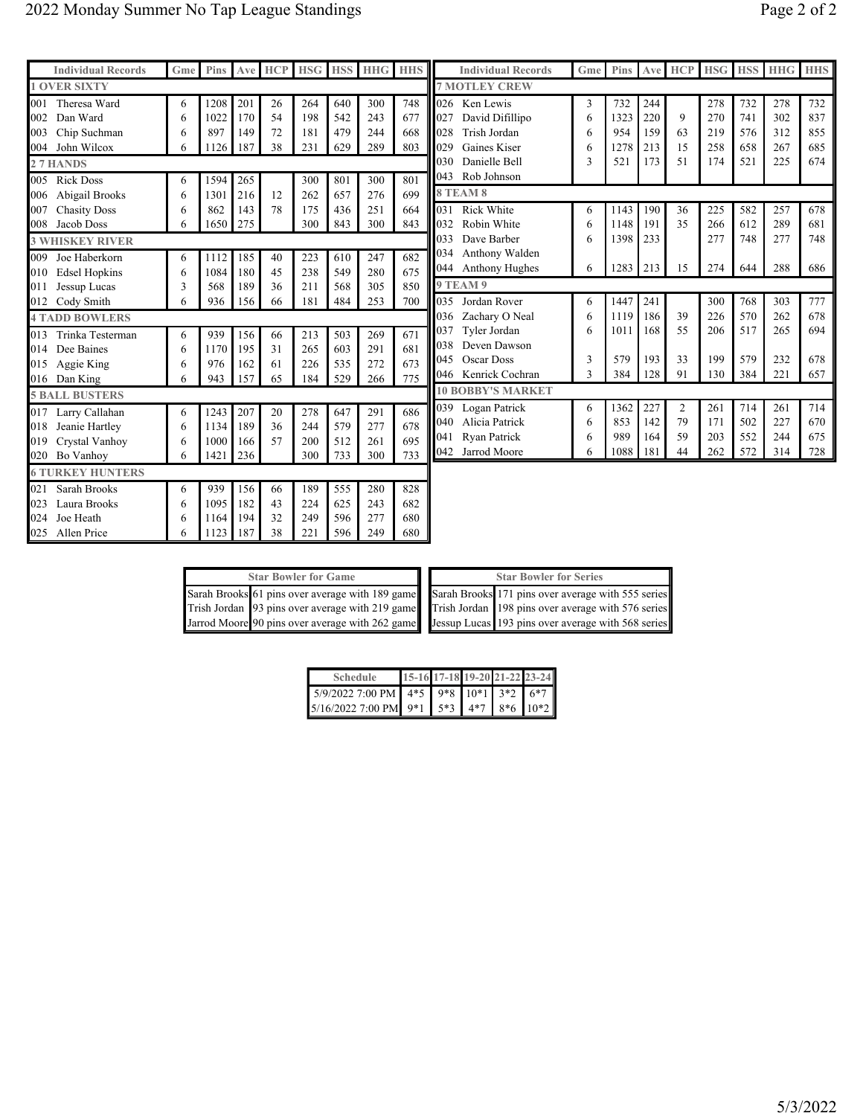024 Joe Heath 6 | 1164 | 194 | 32 | 249 | 596 | 277 | 680 025 Allen Price 6 | 1123 | 187 | 38 | 221 | 596 | 249 | 680

| <b>Individual Records</b>   | Gme | <b>Pins</b> |     | Ave HCP |     |     | <b>HSG   HSS   HHG   HHS  </b> |     |     | <b>Individual Records</b> | Gme | Pins Ave |     | <b>HCP</b>     | <b>HSG</b> |     | <b>HSS HHG HHS</b> |     |
|-----------------------------|-----|-------------|-----|---------|-----|-----|--------------------------------|-----|-----|---------------------------|-----|----------|-----|----------------|------------|-----|--------------------|-----|
| <b>1 OVER SIXTY</b>         |     |             |     |         |     |     |                                |     |     | <b>7 MOTLEY CREW</b>      |     |          |     |                |            |     |                    |     |
| 001 Theresa Ward            | 6   | 1208        | 201 | 26      | 264 | 640 | 300                            | 748 |     | 026 Ken Lewis             | 3   | 732      | 244 |                | 278        | 732 | 278                | 732 |
| Dan Ward<br>002             | 6   | 1022        | 170 | 54      | 198 | 542 | 243                            | 677 | 027 | David Difillipo           | 6   | 1323     | 220 | 9              | 270        | 741 | 302                | 837 |
| Chip Suchman<br>003         | 6   | 897         | 149 | 72      | 181 | 479 | 244                            | 668 | 028 | Trish Jordan              | 6   | 954      | 159 | 63             | 219        | 576 | 312                | 855 |
| 004<br>John Wilcox          | 6   | 1126        | 187 | 38      | 231 | 629 | 289                            | 803 | 029 | Gaines Kiser              | 6   | 1278     | 213 | 15             | 258        | 658 | 267                | 685 |
| 27 HANDS                    |     |             |     |         |     |     |                                |     | 030 | Danielle Bell             | 3   | 521      | 173 | 51             | 174        | 521 | 225                | 674 |
| 005<br><b>Rick Doss</b>     | 6   | 1594        | 265 |         | 300 | 801 | 300                            | 801 |     | 043 Rob Johnson           |     |          |     |                |            |     |                    |     |
| 006 Abigail Brooks          | 6   | 1301        | 216 | 12      | 262 | 657 | 276                            | 699 |     | <b>8 TEAM 8</b>           |     |          |     |                |            |     |                    |     |
| 007<br><b>Chasity Doss</b>  | 6   | 862         | 143 | 78      | 175 | 436 | 251                            | 664 | 031 | <b>Rick White</b>         | 6   | 1143     | 190 | 36             | 225        | 582 | 257                | 678 |
| 008 Jacob Doss              | 6   | 1650        | 275 |         | 300 | 843 | 300                            | 843 | 032 | Robin White               | 6   | 1148     | 191 | 35             | 266        | 612 | 289                | 681 |
| <b>3 WHISKEY RIVER</b>      |     |             |     |         |     |     |                                |     | 033 | Dave Barber               | 6   | 1398     | 233 |                | 277        | 748 | 277                | 748 |
| 009<br>Joe Haberkorn        | 6   | 1112        | 185 | 40      | 223 | 610 | 247                            | 682 | 034 | Anthony Walden            |     |          |     |                |            |     |                    |     |
| <b>Edsel Hopkins</b><br>010 | 6   | 1084        | 180 | 45      | 238 | 549 | 280                            | 675 |     | 044 Anthony Hughes        | 6   | 1283     | 213 | 15             | 274        | 644 | 288                | 686 |
| 011<br>Jessup Lucas         | 3   | 568         | 189 | 36      | 211 | 568 | 305                            | 850 |     | <b>9 TEAM 9</b>           |     |          |     |                |            |     |                    |     |
| 012 Cody Smith              | 6   | 936         | 156 | 66      | 181 | 484 | 253                            | 700 |     | 035 Jordan Rover          | 6   | 1447     | 241 |                | 300        | 768 | 303                | 777 |
| <b>4 TADD BOWLERS</b>       |     |             |     |         |     |     |                                |     | 036 | Zachary O Neal            | 6   | 1119     | 186 | 39             | 226        | 570 | 262                | 678 |
| 013<br>Trinka Testerman     | 6   | 939         | 156 | 66      | 213 | 503 | 269                            | 671 | 037 | Tyler Jordan              | 6   | 1011     | 168 | 55             | 206        | 517 | 265                | 694 |
| 014 Dee Baines              | 6   | 1170        | 195 | 31      | 265 | 603 | 291                            | 681 | 038 | Deven Dawson              |     |          |     |                |            |     |                    |     |
| 015 Aggie King              | 6   | 976         | 162 | 61      | 226 | 535 | 272                            | 673 | 045 | Oscar Doss                | 3   | 579      | 193 | 33             | 199        | 579 | 232                | 678 |
| 016 Dan King                | 6   | 943         | 157 | 65      | 184 | 529 | 266                            | 775 |     | 046 Kenrick Cochran       | 3   | 384      | 128 | 91             | 130        | 384 | 221                | 657 |
| <b>5 BALL BUSTERS</b>       |     |             |     |         |     |     |                                |     |     | <b>10 BOBBY'S MARKET</b>  |     |          |     |                |            |     |                    |     |
| 017 Larry Callahan          | 6   | 1243        | 207 | 20      | 278 | 647 | 291                            | 686 | 039 | Logan Patrick             | 6   | 1362     | 227 | $\overline{2}$ | 261        | 714 | 261                | 714 |
| 018 Jeanie Hartley          | 6   | 1134        | 189 | 36      | 244 | 579 | 277                            | 678 | 040 | Alicia Patrick            | 6   | 853      | 142 | 79             | 171        | 502 | 227                | 670 |
| 019 Crystal Vanhoy          | 6   | 1000        | 166 | 57      | 200 | 512 | 261                            | 695 | 041 | Ryan Patrick              | 6   | 989      | 164 | 59             | 203        | 552 | 244                | 675 |
| 020 Bo Vanhoy               | 6   | 1421        | 236 |         | 300 | 733 | 300                            | 733 | 042 | Jarrod Moore              | 6   | 1088     | 181 | 44             | 262        | 572 | 314                | 728 |
| <b>6 TURKEY HUNTERS</b>     |     |             |     |         |     |     |                                |     |     |                           |     |          |     |                |            |     |                    |     |
| 021<br>Sarah Brooks         | 6   | 939         | 156 | 66      | 189 | 555 | 280                            | 828 |     |                           |     |          |     |                |            |     |                    |     |
| 023<br>Laura Brooks         | 6   | 1095        | 182 | 43      | 224 | 625 | 243                            | 682 |     |                           |     |          |     |                |            |     |                    |     |
| 024 Loe Heath               | 6   | 1164        | 194 | 32      | 249 | 596 | 277                            | 680 |     |                           |     |          |     |                |            |     |                    |     |

|  | <b>Star Bowler for Game</b> |  | <b>Star Bowler for Series</b>                                                                      |
|--|-----------------------------|--|----------------------------------------------------------------------------------------------------|
|  |                             |  | Sarah Brooks 61 pins over average with 189 game Sarah Brooks 171 pins over average with 555 series |
|  |                             |  | Trish Jordan 93 pins over average with 219 game Trish Jordan 198 pins over average with 576 series |
|  |                             |  | Jarrod Moore 90 pins over average with 262 game Jessup Lucas 193 pins over average with 568 series |

| <b>Schedule</b>                                 |  |  | 15-16 17-18 19-20 21-22 23-24 |
|-------------------------------------------------|--|--|-------------------------------|
| 5/9/2022 7:00 PM 4*5 9*8 10*1 3*2 6*7           |  |  |                               |
| $5/16/20227:00 \text{ PM}$ 9*1 5*3 4*7 8*6 10*2 |  |  |                               |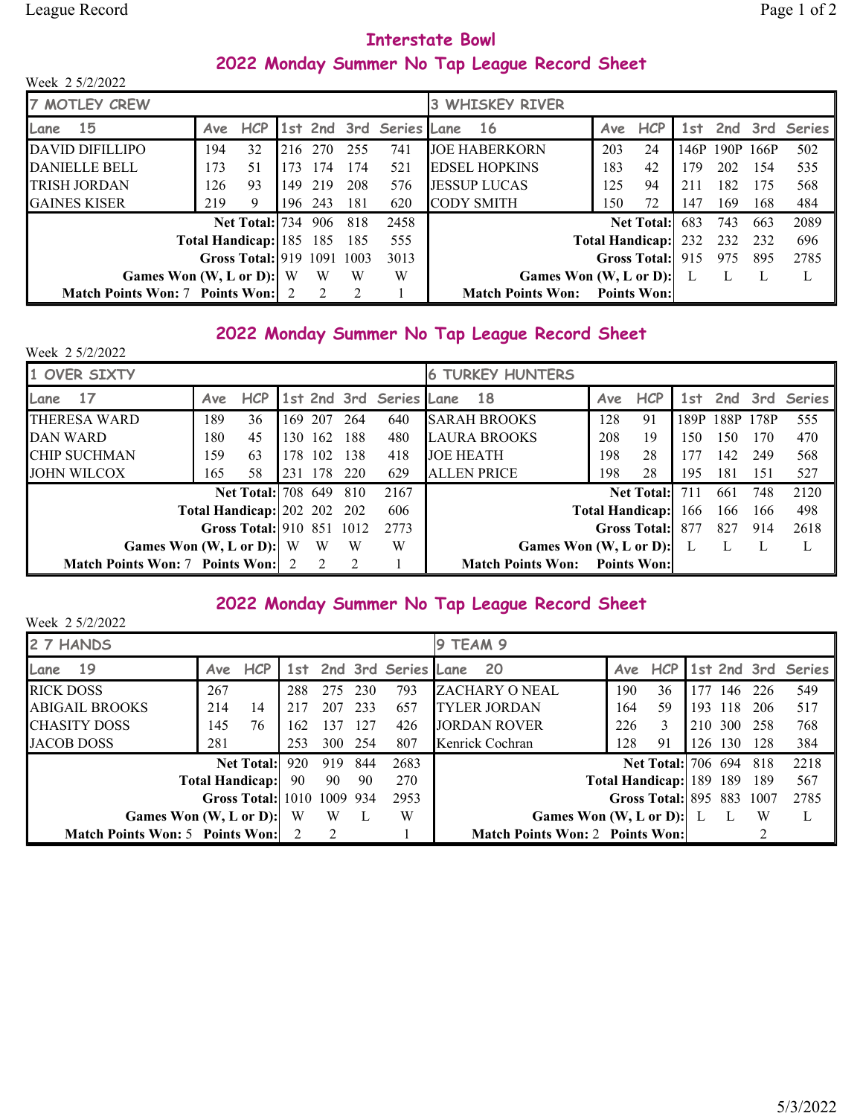## Interstate Bowl 2022 Monday Summer No Tap League Record Sheet

| Week 2 5/2/2022                          |     |                            |     |                |       |                         |  |                                      |     |                        |     |                |       |               |
|------------------------------------------|-----|----------------------------|-----|----------------|-------|-------------------------|--|--------------------------------------|-----|------------------------|-----|----------------|-------|---------------|
| <b>7 MOTLEY CREW</b>                     |     |                            |     |                |       | <b>3 WHISKEY RIVER</b>  |  |                                      |     |                        |     |                |       |               |
| <b>15</b><br>Lane                        | Ave | <b>HCP</b>                 |     |                |       | 1st 2nd 3rd Series Lane |  | -16                                  | Ave | <b>HCP</b>             |     | 1st 2nd 3rd    |       | <b>Series</b> |
| <b>DAVID DIFILLIPO</b>                   | 194 | 32                         | 216 | 270            | 255   | 741                     |  | <b>JOE HABERKORN</b>                 | 203 | 24                     |     | 146P 190P 166P |       | 502           |
| <b>DANIELLE BELL</b>                     | 173 | 51                         | 173 | 174            | 174   | 521                     |  | <b>EDSEL HOPKINS</b>                 | 183 | 42                     | 179 | 202            | - 154 | 535           |
| <b>TRISH JORDAN</b>                      | 126 | 93                         | 149 | 219            | 208   | 576                     |  | <b>JESSUP LUCAS</b>                  | 125 | 94                     | 211 | 182            | - 175 | 568           |
| <b>GAINES KISER</b>                      | 219 | 9                          | 196 | 243            | 181   | 620                     |  | <b>CODY SMITH</b>                    | 150 | 72                     | 147 | 169            | 168   | 484           |
|                                          |     | Net Total: 734             |     | 906            | -818  | 2458                    |  |                                      |     | <b>Net Total:</b>      | 683 | 743            | 663   | 2089          |
|                                          |     | Total Handicap: 185 185    |     |                | - 185 | 555                     |  |                                      |     | <b>Total Handicap:</b> | 232 | 232            | -232  | 696           |
|                                          |     | Gross Total: 919 1091 1003 |     |                |       | 3013                    |  |                                      |     | <b>Gross Total:</b>    | 915 | 975            | 895   | 2785          |
| Games Won $(W, L or D)$ : W              |     |                            |     | W              | W     | W                       |  | Games Won $(W, L \text{ or } D)$ : L |     |                        |     |                |       |               |
| <b>Match Points Won: 7 Points Won: 2</b> |     |                            |     | $\mathfrak{D}$ |       |                         |  | <b>Match Points Won:</b>             |     | <b>Points Won:</b>     |     |                |       |               |

#### 2022 Monday Summer No Tap League Record Sheet

| Week 2 5/2/2022                          |     |                                    |     |               |                |                         |                                      |     |                        |      |         |      |               |
|------------------------------------------|-----|------------------------------------|-----|---------------|----------------|-------------------------|--------------------------------------|-----|------------------------|------|---------|------|---------------|
| 1 OVER SIXTY                             |     |                                    |     |               |                |                         | <b>TURKEY HUNTERS</b><br>6           |     |                        |      |         |      |               |
| 17<br>Lane                               | Ave | <b>HCP</b>                         |     |               |                | 1st 2nd 3rd Series Lane | - 18                                 | Ave | <b>HCP</b>             |      | 1st 2nd | 3rd  | <b>Series</b> |
| THERESA WARD                             | 189 | 36                                 | 169 | 207           | 264            | 640                     | <b>SARAH BROOKS</b>                  | 128 | 91                     | 189P | 188P    | 178P | 555           |
| DAN WARD                                 | 180 | 45                                 | 130 | 162           | 188            | 480                     | <b>LAURA BROOKS</b>                  | 208 | 19                     | 150. | 150     | 170  | 470           |
| <b>CHIP SUCHMAN</b>                      | 159 | 63                                 |     | 178 102       | - 138          | 418                     | <b>JOE HEATH</b>                     | 198 | 28                     | 177  | 142     | 249  | 568           |
| <b>JOHN WILCOX</b>                       | 165 | 58                                 |     | 231 178       | 220            | 629                     | <b>ALLEN PRICE</b>                   | 198 | 28                     | 195  | 181     | 151  | 527           |
|                                          |     | <b>Net Total:</b> 708 649          |     |               | 810            | 2167                    |                                      |     | <b>Net Total:</b>      | 711  | 661     | 748  | 2120          |
|                                          |     | <b>Total Handicap:</b> 202 202 202 |     |               |                | 606                     |                                      |     | <b>Total Handicap:</b> | 166  | 166     | 166  | 498           |
|                                          |     | Gross Total: 910 851 1012          |     |               |                | 2773                    |                                      |     | <b>Gross Total:</b>    | 877  | 827     | 914  | 2618          |
| Games Won $(W, L or D)$ : W              |     |                                    |     | W             | W              | W                       | Games Won (W, L or D):               |     |                        |      |         |      | L             |
| <b>Match Points Won: 7 Points Won: 2</b> |     |                                    |     | $\mathcal{L}$ | $\overline{2}$ |                         | <b>Match Points Won:</b> Points Won: |     |                        |      |         |      |               |

#### 2022 Monday Summer No Tap League Record Sheet

| Week 2 5/2/2022                        |     |                            |          |               |     |                         |  |                                        |                         |                           |     |     |             |               |
|----------------------------------------|-----|----------------------------|----------|---------------|-----|-------------------------|--|----------------------------------------|-------------------------|---------------------------|-----|-----|-------------|---------------|
| 2 7 HANDS                              |     |                            | 9 TEAM 9 |               |     |                         |  |                                        |                         |                           |     |     |             |               |
| 19<br>Lane                             | Ave | <b>HCP</b>                 |          |               |     | 1st 2nd 3rd Series Lane |  | <b>20</b>                              | Ave                     | <b>HCP</b>                |     |     | 1st 2nd 3rd | <b>Series</b> |
| <b>RICK DOSS</b>                       | 267 |                            | 288      | 275           | 230 | 793                     |  | ZACHARY O NEAL                         | 190                     | 36                        | 177 | 146 | -226        | 549           |
| <b>ABIGAIL BROOKS</b>                  | 214 | 14                         | 217      | 207           | 233 | 657                     |  | <b>TYLER JORDAN</b>                    | 164                     | 59                        | 193 | 118 | 206         | 517           |
| <b>CHASITY DOSS</b>                    | 145 | 76                         | 162      | 137           | 127 | 426                     |  | <b>JORDAN ROVER</b>                    | 226                     | 3                         | 210 | 300 | 258         | 768           |
| <b>JACOB DOSS</b>                      | 281 |                            | 253      | 300 254       |     | 807                     |  | Kenrick Cochran                        | 128                     | 91                        | 126 | 130 | 128         | 384           |
|                                        |     | <b>Net Total:</b>          | 920      | 919           | 844 | 2683                    |  |                                        |                         | <b>Net Total:</b> 706 694 |     |     | 818         | 2218          |
|                                        |     | <b>Total Handicap:</b>     | 90       | 90            | 90  | 270                     |  |                                        | Total Handicap: 189 189 |                           |     |     | 189         | 567           |
|                                        |     | Gross Total: 1010 1009 934 |          |               |     | 2953                    |  |                                        |                         | Gross Total: 895 883 1007 |     |     |             | 2785          |
| Games Won (W, L or D):                 |     |                            | W        | W             |     | W                       |  | Games Won $(W, L or D)$ : L            |                         |                           |     | L   | W           |               |
| <b>Match Points Won: 5 Points Won:</b> |     |                            |          | $\mathcal{L}$ |     |                         |  | <b>Match Points Won: 2 Points Won:</b> |                         |                           |     |     | ↑           |               |